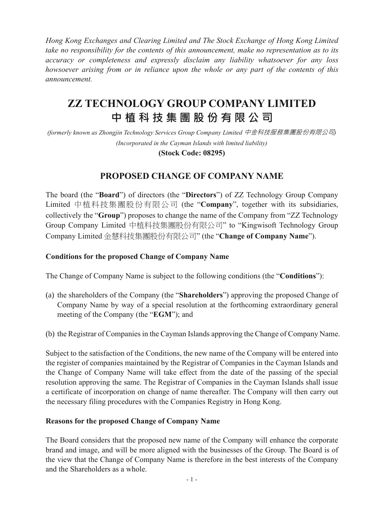*Hong Kong Exchanges and Clearing Limited and The Stock Exchange of Hong Kong Limited take no responsibility for the contents of this announcement, make no representation as to its accuracy or completeness and expressly disclaim any liability whatsoever for any loss howsoever arising from or in reliance upon the whole or any part of the contents of this announcement.*

# **ZZ TECHNOLOGY GROUP COMPANY LIMITED 中 植 科 技 集 團 股 份 有 限 公 司**

*(formerly known as Zhongjin Technology Services Group Company Limited* 中金科技服務集團股份有限公司*) (Incorporated in the Cayman Islands with limited liability)*

**(Stock Code: 08295)**

## **PROPOSED CHANGE OF COMPANY NAME**

The board (the "**Board**") of directors (the "**Directors**") of ZZ Technology Group Company Limited 中植科技集團股份有限公司 (the "**Company**", together with its subsidiaries, collectively the "**Group**") proposes to change the name of the Company from "ZZ Technology Group Company Limited 中植科技集團股份有限公司" to "Kingwisoft Technology Group Company Limited 金慧科技集團股份有限公司" (the "**Change of Company Name**").

#### **Conditions for the proposed Change of Company Name**

The Change of Company Name is subject to the following conditions (the "**Conditions**"):

- (a) the shareholders of the Company (the "**Shareholders**") approving the proposed Change of Company Name by way of a special resolution at the forthcoming extraordinary general meeting of the Company (the "**EGM**"); and
- (b) the Registrar of Companies in the Cayman Islands approving the Change of Company Name.

Subject to the satisfaction of the Conditions, the new name of the Company will be entered into the register of companies maintained by the Registrar of Companies in the Cayman Islands and the Change of Company Name will take effect from the date of the passing of the special resolution approving the same. The Registrar of Companies in the Cayman Islands shall issue a certificate of incorporation on change of name thereafter. The Company will then carry out the necessary filing procedures with the Companies Registry in Hong Kong.

#### **Reasons for the proposed Change of Company Name**

The Board considers that the proposed new name of the Company will enhance the corporate brand and image, and will be more aligned with the businesses of the Group. The Board is of the view that the Change of Company Name is therefore in the best interests of the Company and the Shareholders as a whole.